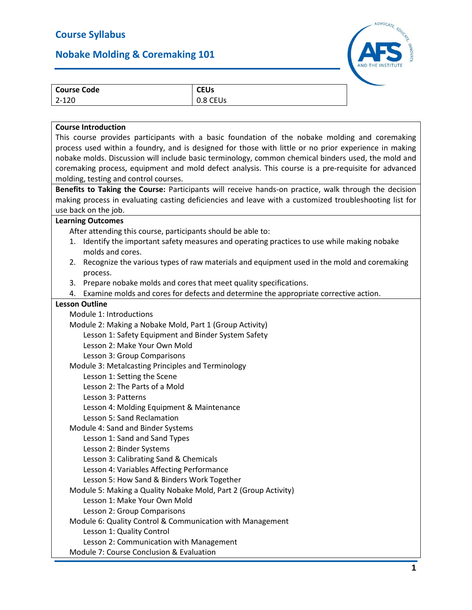## **Nobake Molding & Coremaking 101**



| $2 - 120$<br>0.8 CEUs |  |
|-----------------------|--|

## **Course Introduction**

This course provides participants with a basic foundation of the nobake molding and coremaking process used within a foundry, and is designed for those with little or no prior experience in making nobake molds. Discussion will include basic terminology, common chemical binders used, the mold and coremaking process, equipment and mold defect analysis. This course is a pre-requisite for advanced molding, testing and control courses.

**Benefits to Taking the Course:** Participants will receive hands-on practice, walk through the decision making process in evaluating casting deficiencies and leave with a customized troubleshooting list for use back on the job.

## **Learning Outcomes**

After attending this course, participants should be able to:

- 1. Identify the important safety measures and operating practices to use while making nobake molds and cores.
- 2. Recognize the various types of raw materials and equipment used in the mold and coremaking process.
- 3. Prepare nobake molds and cores that meet quality specifications.
- 4. Examine molds and cores for defects and determine the appropriate corrective action.

## **Lesson Outline** Module 1: Introductions Module 2: Making a Nobake Mold, Part 1 (Group Activity) Lesson 1: Safety Equipment and Binder System Safety Lesson 2: Make Your Own Mold Lesson 3: Group Comparisons Module 3: Metalcasting Principles and Terminology Lesson 1: Setting the Scene Lesson 2: The Parts of a Mold Lesson 3: Patterns Lesson 4: Molding Equipment & Maintenance Lesson 5: Sand Reclamation Module 4: Sand and Binder Systems Lesson 1: Sand and Sand Types Lesson 2: Binder Systems Lesson 3: Calibrating Sand & Chemicals Lesson 4: Variables Affecting Performance Lesson 5: How Sand & Binders Work Together Module 5: Making a Quality Nobake Mold, Part 2 (Group Activity) Lesson 1: Make Your Own Mold Lesson 2: Group Comparisons Module 6: Quality Control & Communication with Management Lesson 1: Quality Control

Lesson 2: Communication with Management

Module 7: Course Conclusion & Evaluation